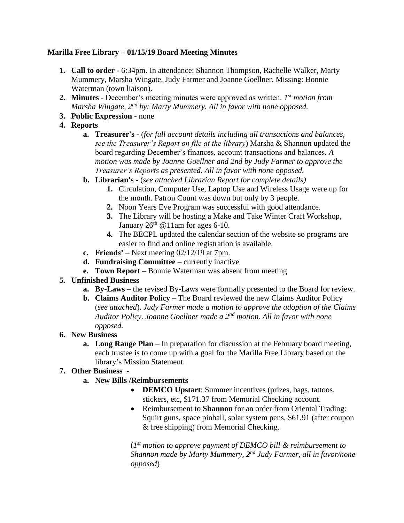# **Marilla Free Library – 01/15/19 Board Meeting Minutes**

- **1. Call to order** 6:34pm. In attendance: Shannon Thompson, Rachelle Walker, Marty Mummery, Marsha Wingate, Judy Farmer and Joanne Goellner. Missing: Bonnie Waterman (town liaison).
- **2. Minutes** December's meeting minutes were approved as written. *1 st motion from Marsha Wingate, 2nd by: Marty Mummery. All in favor with none opposed.*
- **3. Public Expression** none
- **4. Reports**
	- **a. Treasurer's -** (*for full account details including all transactions and balances, see the Treasurer's Report on file at the library*) Marsha & Shannon updated the board regarding December's finances, account transactions and balances. *A motion was made by Joanne Goellner and 2nd by Judy Farmer to approve the Treasurer's Reports as presented. All in favor with none opposed.*
	- **b. Librarian's** (*see attached Librarian Report for complete details)*
		- **1.** Circulation, Computer Use, Laptop Use and Wireless Usage were up for the month. Patron Count was down but only by 3 people.
		- **2.** Noon Years Eve Program was successful with good attendance.
		- **3.** The Library will be hosting a Make and Take Winter Craft Workshop, January  $26<sup>th</sup>$  @ 11am for ages 6-10.
		- **4.** The BECPL updated the calendar section of the website so programs are easier to find and online registration is available.
	- **c. Friends'** Next meeting 02/12/19 at 7pm.
	- **d. Fundraising Committee** currently inactive
	- **e. Town Report** Bonnie Waterman was absent from meeting

# **5. Unfinished Business**

- **a. By-Laws** the revised By-Laws were formally presented to the Board for review.
- **b. Claims Auditor Policy**  The Board reviewed the new Claims Auditor Policy (*see attached*). *Judy Farmer made a motion to approve the adoption of the Claims Auditor Policy. Joanne Goellner made a 2nd motion. All in favor with none opposed.*

# **6. New Business**

**a. Long Range Plan** – In preparation for discussion at the February board meeting, each trustee is to come up with a goal for the Marilla Free Library based on the library's Mission Statement.

# **7. Other Business** -

- **a. New Bills /Reimbursements** 
	- **DEMCO Upstart**: Summer incentives (prizes, bags, tattoos, stickers, etc, \$171.37 from Memorial Checking account.
	- Reimbursement to **Shannon** for an order from Oriental Trading: Squirt guns, space pinball, solar system pens, \$61.91 (after coupon & free shipping) from Memorial Checking.

(*1 st motion to approve payment of DEMCO bill & reimbursement to Shannon made by Marty Mummery, 2nd Judy Farmer, all in favor/none opposed*)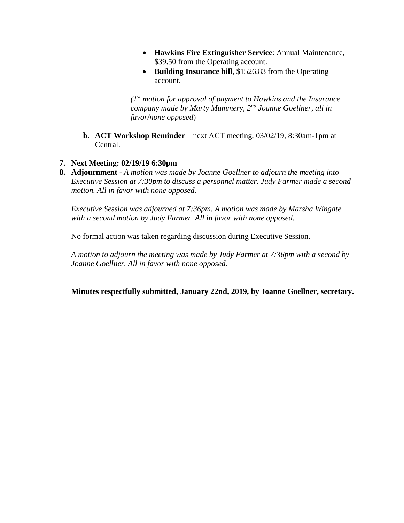- **Hawkins Fire Extinguisher Service**: Annual Maintenance, \$39.50 from the Operating account.
- Building Insurance bill, \$1526.83 from the Operating account.

*(1 st motion for approval of payment to Hawkins and the Insurance company made by Marty Mummery, 2nd Joanne Goellner, all in favor/none opposed*)

**b. ACT Workshop Reminder** – next ACT meeting, 03/02/19, 8:30am-1pm at Central.

## **7. Next Meeting: 02/19/19 6:30pm**

**8. Adjournment** - *A motion was made by Joanne Goellner to adjourn the meeting into Executive Session at 7:30pm to discuss a personnel matter. Judy Farmer made a second motion. All in favor with none opposed.*

*Executive Session was adjourned at 7:36pm. A motion was made by Marsha Wingate with a second motion by Judy Farmer. All in favor with none opposed.*

No formal action was taken regarding discussion during Executive Session.

*A motion to adjourn the meeting was made by Judy Farmer at 7:36pm with a second by Joanne Goellner. All in favor with none opposed.*

**Minutes respectfully submitted, January 22nd, 2019, by Joanne Goellner, secretary.**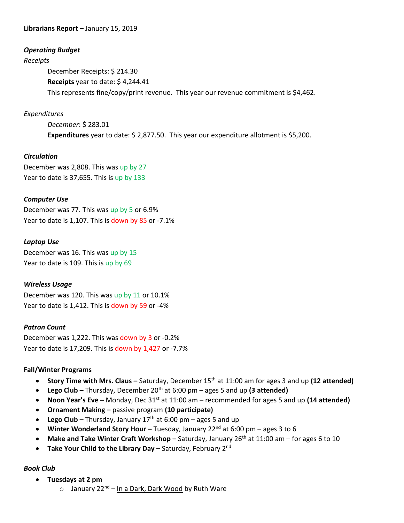### **Librarians Report –** January 15, 2019

#### *Operating Budget*

#### *Receipts*

December Receipts: \$ 214.30 **Receipts** year to date: \$ 4,244.41 This represents fine/copy/print revenue. This year our revenue commitment is \$4,462.

### *Expenditures*

*December*: \$ 283.01 **Expenditures** year to date: \$ 2,877.50. This year our expenditure allotment is \$5,200.

### *Circulation*

December was 2,808. This was up by 27 Year to date is 37,655. This is up by 133

### *Computer Use*

December was 77. This was up by 5 or 6.9% Year to date is 1,107. This is down by 85 or -7.1%

### *Laptop Use*

December was 16. This was up by 15 Year to date is 109. This is up by 69

#### *Wireless Usage*

December was 120. This was up by 11 or 10.1% Year to date is 1,412. This is down by 59 or -4%

#### *Patron Count*

December was 1,222. This was down by 3 or -0.2% Year to date is 17,209. This is down by 1,427 or -7.7%

#### **Fall/Winter Programs**

- **•** Story Time with Mrs. Claus Saturday, December 15<sup>th</sup> at 11:00 am for ages 3 and up (12 attended)
- **•** Lego Club Thursday, December 20<sup>th</sup> at 6:00 pm ages 5 and up (3 attended)
- **Noon Year's Eve –** Monday, Dec 31st at 11:00 am recommended for ages 5 and up **(14 attended)**
- **Ornament Making –** passive program **(10 participate)**
- **Lego Club –** Thursday, January 17th at 6:00 pm ages 5 and up
- **Winter Wonderland Story Hour –** Tuesday, January 22<sup>nd</sup> at 6:00 pm ages 3 to 6
- **Make and Take Winter Craft Workshop** Saturday, January 26<sup>th</sup> at 11:00 am for ages 6 to 10
- **Take Your Child to the Library Day** Saturday, February 2<sup>nd</sup>

## *Book Club*

- **Tuesdays at 2 pm**
	- o January 22<sup>nd</sup> <u>In a Dark, Dark Wood</u> by Ruth Ware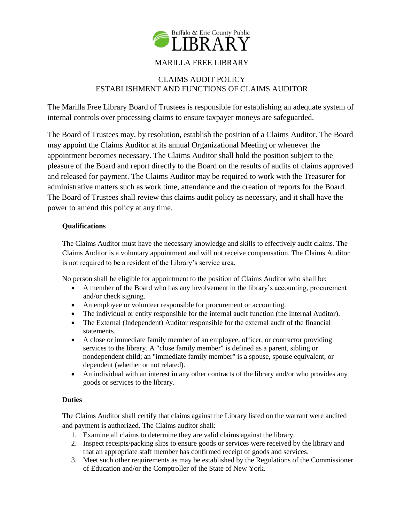

# MARILLA FREE LIBRARY

# CLAIMS AUDIT POLICY ESTABLISHMENT AND FUNCTIONS OF CLAIMS AUDITOR

The Marilla Free Library Board of Trustees is responsible for establishing an adequate system of internal controls over processing claims to ensure taxpayer moneys are safeguarded.

The Board of Trustees may, by resolution, establish the position of a Claims Auditor. The Board may appoint the Claims Auditor at its annual Organizational Meeting or whenever the appointment becomes necessary. The Claims Auditor shall hold the position subject to the pleasure of the Board and report directly to the Board on the results of audits of claims approved and released for payment. The Claims Auditor may be required to work with the Treasurer for administrative matters such as work time, attendance and the creation of reports for the Board. The Board of Trustees shall review this claims audit policy as necessary, and it shall have the power to amend this policy at any time.

## **Qualifications**

The Claims Auditor must have the necessary knowledge and skills to effectively audit claims. The Claims Auditor is a voluntary appointment and will not receive compensation. The Claims Auditor is not required to be a resident of the Library's service area.

No person shall be eligible for appointment to the position of Claims Auditor who shall be:

- A member of the Board who has any involvement in the library's accounting, procurement and/or check signing.
- An employee or volunteer responsible for procurement or accounting.
- The individual or entity responsible for the internal audit function (the Internal Auditor).
- The External (Independent) Auditor responsible for the external audit of the financial statements.
- A close or immediate family member of an employee, officer, or contractor providing services to the library. A "close family member" is defined as a parent, sibling or nondependent child; an "immediate family member" is a spouse, spouse equivalent, or dependent (whether or not related).
- An individual with an interest in any other contracts of the library and/or who provides any goods or services to the library.

## **Duties**

The Claims Auditor shall certify that claims against the Library listed on the warrant were audited and payment is authorized. The Claims auditor shall:

- 1. Examine all claims to determine they are valid claims against the library.
- 2. Inspect receipts/packing slips to ensure goods or services were received by the library and that an appropriate staff member has confirmed receipt of goods and services.
- 3. Meet such other requirements as may be established by the Regulations of the Commissioner of Education and/or the Comptroller of the State of New York.